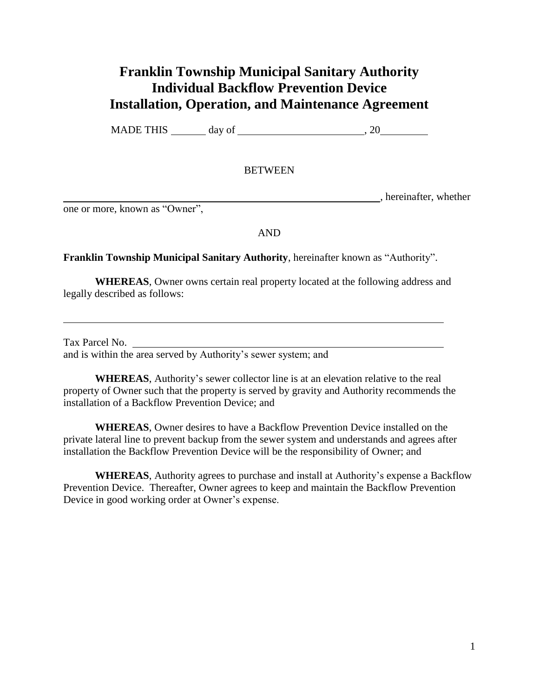## **Franklin Township Municipal Sanitary Authority Individual Backflow Prevention Device Installation, Operation, and Maintenance Agreement**

MADE THIS  $\_\_\_\_\$  day of  $\_\_\_\_\_\_\$ , 20

## **BETWEEN**

, hereinafter, whether

one or more, known as "Owner",

AND

## **Franklin Township Municipal Sanitary Authority**, hereinafter known as "Authority".

**WHEREAS**, Owner owns certain real property located at the following address and legally described as follows:

Tax Parcel No. and is within the area served by Authority's sewer system; and

**WHEREAS**, Authority's sewer collector line is at an elevation relative to the real property of Owner such that the property is served by gravity and Authority recommends the installation of a Backflow Prevention Device; and

**WHEREAS**, Owner desires to have a Backflow Prevention Device installed on the private lateral line to prevent backup from the sewer system and understands and agrees after installation the Backflow Prevention Device will be the responsibility of Owner; and

**WHEREAS**, Authority agrees to purchase and install at Authority's expense a Backflow Prevention Device. Thereafter, Owner agrees to keep and maintain the Backflow Prevention Device in good working order at Owner's expense.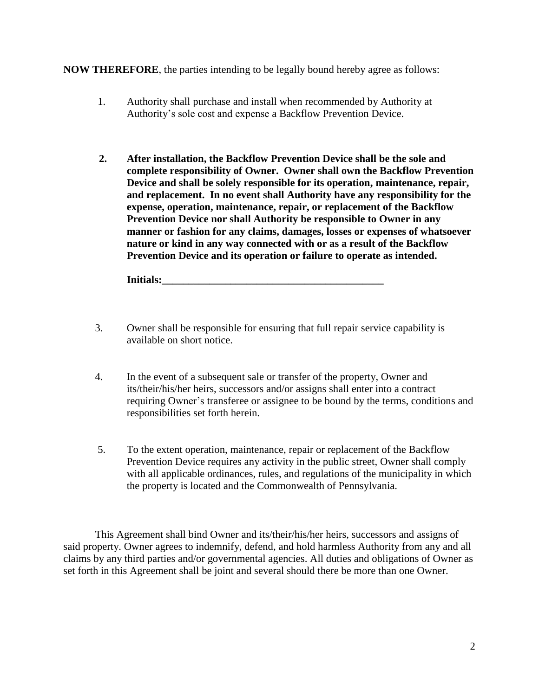**NOW THEREFORE**, the parties intending to be legally bound hereby agree as follows:

- 1. Authority shall purchase and install when recommended by Authority at Authority's sole cost and expense a Backflow Prevention Device.
- **2. After installation, the Backflow Prevention Device shall be the sole and complete responsibility of Owner. Owner shall own the Backflow Prevention Device and shall be solely responsible for its operation, maintenance, repair, and replacement. In no event shall Authority have any responsibility for the expense, operation, maintenance, repair, or replacement of the Backflow Prevention Device nor shall Authority be responsible to Owner in any manner or fashion for any claims, damages, losses or expenses of whatsoever nature or kind in any way connected with or as a result of the Backflow Prevention Device and its operation or failure to operate as intended.**

**Initials:** 

- 3. Owner shall be responsible for ensuring that full repair service capability is available on short notice.
- 4. In the event of a subsequent sale or transfer of the property, Owner and its/their/his/her heirs, successors and/or assigns shall enter into a contract requiring Owner's transferee or assignee to be bound by the terms, conditions and responsibilities set forth herein.
- 5. To the extent operation, maintenance, repair or replacement of the Backflow Prevention Device requires any activity in the public street, Owner shall comply with all applicable ordinances, rules, and regulations of the municipality in which the property is located and the Commonwealth of Pennsylvania.

This Agreement shall bind Owner and its/their/his/her heirs, successors and assigns of said property. Owner agrees to indemnify, defend, and hold harmless Authority from any and all claims by any third parties and/or governmental agencies. All duties and obligations of Owner as set forth in this Agreement shall be joint and several should there be more than one Owner.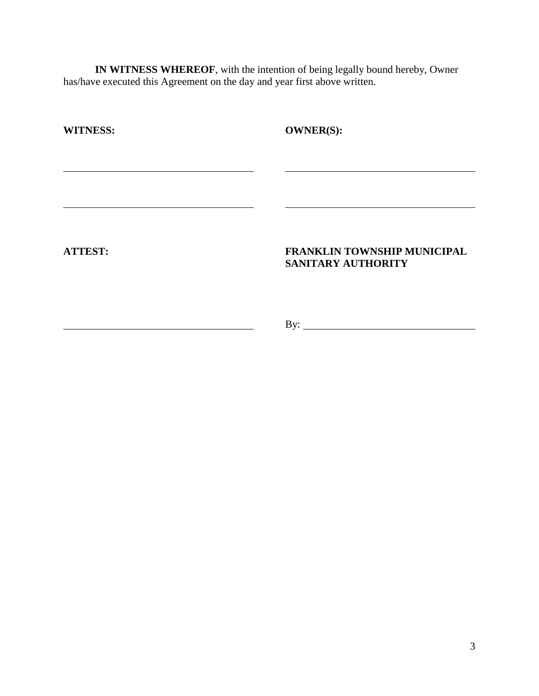**IN WITNESS WHEREOF**, with the intention of being legally bound hereby, Owner has/have executed this Agreement on the day and year first above written.

| <b>WITNESS:</b> | <b>OWNER(S):</b>                                  |
|-----------------|---------------------------------------------------|
|                 |                                                   |
|                 |                                                   |
|                 |                                                   |
|                 |                                                   |
| <b>ATTEST:</b>  | FRANKLIN TOWNSHIP MUNICIPAL<br>SANITARY AUTHORITY |
|                 |                                                   |
|                 |                                                   |
|                 | By:                                               |